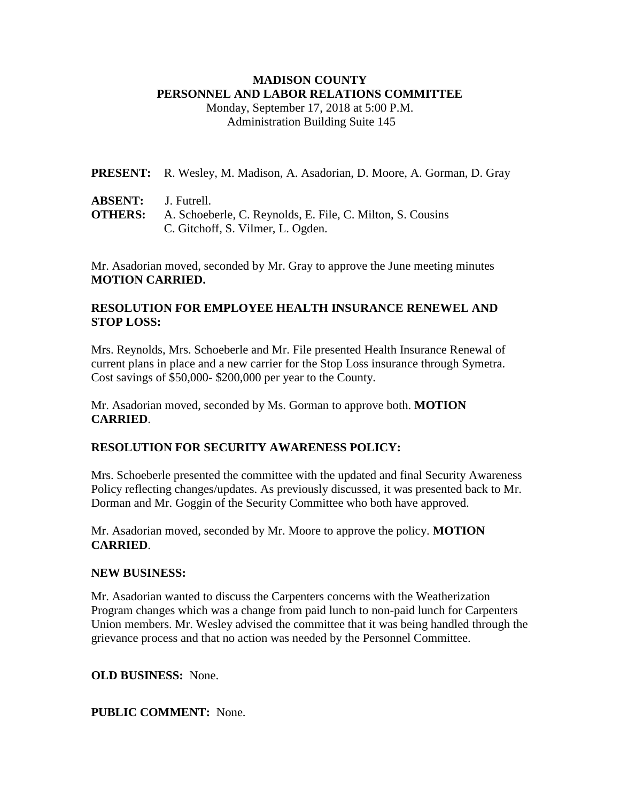# **MADISON COUNTY PERSONNEL AND LABOR RELATIONS COMMITTEE**

Monday, September 17, 2018 at 5:00 P.M. Administration Building Suite 145

| PRESENT: R. Wesley, M. Madison, A. Asadorian, D. Moore, A. Gorman, D. Gray |  |
|----------------------------------------------------------------------------|--|
|----------------------------------------------------------------------------|--|

- **ABSENT:** J. Futrell.
- **OTHERS:** A. Schoeberle, C. Reynolds, E. File, C. Milton, S. Cousins C. Gitchoff, S. Vilmer, L. Ogden.

Mr. Asadorian moved, seconded by Mr. Gray to approve the June meeting minutes **MOTION CARRIED.**

# **RESOLUTION FOR EMPLOYEE HEALTH INSURANCE RENEWEL AND STOP LOSS:**

Mrs. Reynolds, Mrs. Schoeberle and Mr. File presented Health Insurance Renewal of current plans in place and a new carrier for the Stop Loss insurance through Symetra. Cost savings of \$50,000- \$200,000 per year to the County.

Mr. Asadorian moved, seconded by Ms. Gorman to approve both. **MOTION CARRIED**.

# **RESOLUTION FOR SECURITY AWARENESS POLICY:**

Mrs. Schoeberle presented the committee with the updated and final Security Awareness Policy reflecting changes/updates. As previously discussed, it was presented back to Mr. Dorman and Mr. Goggin of the Security Committee who both have approved.

Mr. Asadorian moved, seconded by Mr. Moore to approve the policy. **MOTION CARRIED**.

# **NEW BUSINESS:**

Mr. Asadorian wanted to discuss the Carpenters concerns with the Weatherization Program changes which was a change from paid lunch to non-paid lunch for Carpenters Union members. Mr. Wesley advised the committee that it was being handled through the grievance process and that no action was needed by the Personnel Committee.

# **OLD BUSINESS:** None.

**PUBLIC COMMENT:** None.